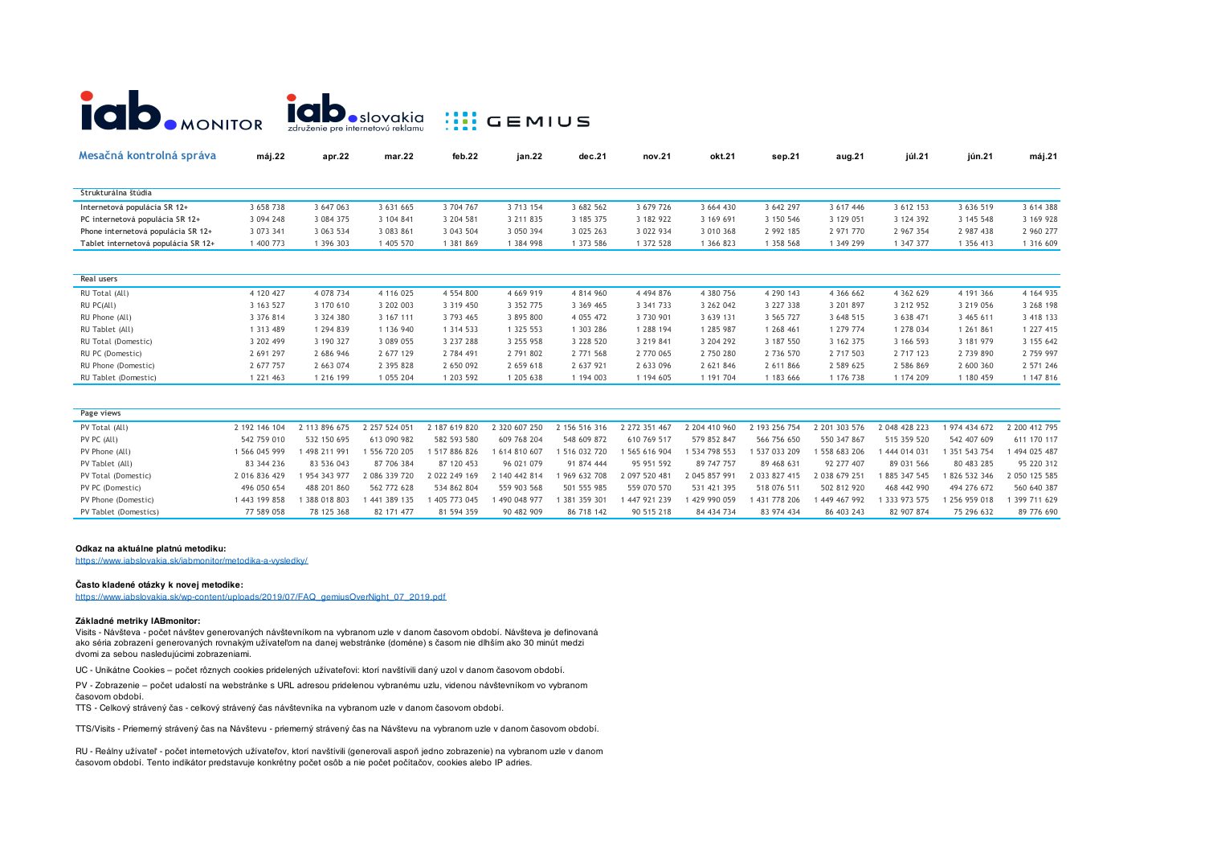

| Mesačná kontrolná správa            | máj.22    | apr.22        | mar.22    | feb.22    | jan.22        | dec.21        | nov.21        | okt.21    | sep.21    | aug.21    | júl.21    | jún.21    | máj.21    |
|-------------------------------------|-----------|---------------|-----------|-----------|---------------|---------------|---------------|-----------|-----------|-----------|-----------|-----------|-----------|
| Štrukturálna štúdia                 |           |               |           |           |               |               |               |           |           |           |           |           |           |
| Internetová populácia SR 12+        | 3 658 738 | 3 647 063     | 3 631 665 | 3 704 767 | 3 713 154     | 3 682 562     | 3 679 726     | 3 664 430 | 3 642 297 | 3 617 446 | 3 612 153 | 3 636 519 | 3 614 388 |
|                                     |           |               |           |           |               |               |               |           |           |           |           |           |           |
| PC internetová populácia SR 12+     | 3 094 248 | 3 084 375     | 3 104 841 | 3 204 581 | 3 211 8 35    | 3 185 375     | 3 182 922     | 3 169 691 | 3 150 546 | 3 129 051 | 3 124 392 | 3 145 548 | 3 169 928 |
| Phone internetová populácia SR 12+  | 3 073 341 | 3 063 534     | 3 083 861 | 3 043 504 | 3 050 394     | 3 025 263     | 3 022 934     | 3 010 368 | 2 992 185 | 2 971 770 | 2 967 354 | 2 987 438 | 2 960 277 |
| Tablet internetová populácia SR 12+ | 1 400 773 | 1 396 303     | 405 570   | 1 381 869 | 1 384 998     | 1 373 586     | 1 372 528     | 1 366 823 | 1 358 568 | 1 349 299 | 1 347 377 | 1 356 413 | 1 316 609 |
| Real users                          |           |               |           |           |               |               |               |           |           |           |           |           |           |
|                                     |           |               |           |           |               |               |               |           |           |           |           |           |           |
| RU Total (All)                      | 4 120 427 | 4 078 734     | 4 116 025 | 4 554 800 | 4 6 6 9 9 1 9 | 4 8 1 4 9 6 0 | 4 4 9 4 8 7 6 | 4 380 756 | 4 290 143 | 4 366 662 | 4 362 629 | 4 191 366 | 4 164 935 |
| RU PC(All)                          | 3 163 527 | 3 170 610     | 3 202 003 | 3 319 450 | 3 3 5 2 7 7 5 | 3 369 465     | 3 341 733     | 3 262 042 | 3 227 338 | 3 201 897 | 3 212 952 | 3 219 056 | 3 268 198 |
| RU Phone (All)                      | 3 376 814 | 3 3 2 4 3 8 0 | 3 167 111 | 3 793 465 | 3 895 800     | 4 0 5 4 4 7 2 | 3 730 901     | 3 639 131 | 3 565 727 | 3 648 515 | 3 638 471 | 3 465 611 | 3 418 133 |
| RU Tablet (All)                     | 1 313 489 | 1 294 839     | 1 136 940 | 1 314 533 | 1 325 553     | 1 303 286     | 1 288 194     | 1 285 987 | 1 268 461 | 1 279 774 | 1 278 034 | 1 261 861 | 1 227 415 |
| RU Total (Domestic)                 | 3 202 499 | 3 190 327     | 3 089 055 | 3 237 288 | 3 255 958     | 3 228 520     | 3 219 841     | 3 204 292 | 3 187 550 | 3 162 375 | 3 166 593 | 3 181 979 | 3 155 642 |
| RU PC (Domestic)                    | 2 691 297 | 2 686 946     | 2 677 129 | 2 784 491 | 2 791 802     | 2 771 568     | 2 770 065     | 2 750 280 | 2 736 570 | 2 717 503 | 2 717 123 | 2 739 890 | 2 759 997 |
| RU Phone (Domestic)                 | 2 677 757 | 2 663 074     | 2 395 828 | 2 650 092 | 2 659 618     | 2 637 921     | 2 633 096     | 2 621 846 | 2 611 866 | 2 589 625 | 2 586 869 | 2 600 360 | 2 571 246 |
| RU Tablet (Domestic)                | 1 221 463 | 1 216 199     | 1 055 204 | 1 203 592 | 1 205 638     | 1 194 003     | 1 194 605     | 1 191 704 | 1 183 666 | 1 176 738 | 1 174 209 | 1 180 459 | 1 147 816 |

| Page views            |               |               |                     |               |               |               |               |               |               |               |               |               |               |
|-----------------------|---------------|---------------|---------------------|---------------|---------------|---------------|---------------|---------------|---------------|---------------|---------------|---------------|---------------|
| PV Total (All)        | 2 192 146 104 | 2 113 896 675 | 2 2 5 7 5 2 4 0 5 1 | 2 187 619 820 | 2 320 607 250 | 2 156 516 316 | 2 272 351 467 | 2 204 410 960 | 2 193 256 754 | 2 201 303 576 | 2 048 428 223 | 1974 434 672  | 2 200 412 795 |
| PV PC (All)           | 542 759 010   | 532 150 695   | 613 090 982         | 582 593 580   | 609 768 204   | 548 609 872   | 610 769 517   | 579 852 847   | 566 756 650   | 550 347 867   | 515 359 520   | 542 407 609   | 611 170 117   |
| PV Phone (All)        | 566 045 999   | 498 211 991   | 556 720 205         | 517 886 826   | 1614810607    | 1 516 032 720 | 565 616 904   | 534 798 553   | 537 033 209   | 558 683 206   | 444 014 031   | 1 351 543 754 | 494 025 487   |
| PV Tablet (All)       | 83 344 236    | 83 536 043    | 87 706 384          | 87 120 453    | 96 021 079    | 91 874 444    | 95 951 592    | 89 747 757    | 89 468 631    | 92 277 407    | 89 031 566    | 80 483 285    | 95 220 312    |
| PV Total (Domestic)   | 2 016 836 429 | 954 343 977   | 2 086 339 720       | 2 022 249 169 | 2 140 442 814 | 1969 632 708  | 2 097 520 481 | 2 045 857 991 | 2 033 827 415 | 2 038 679 251 | 1885 347 545  | 1826 532 346  | 2 050 125 585 |
| PV PC (Domestic)      | 496 050 654   | 488 201 860   | 562 772 628         | 534 862 804   | 559 903 568   | 501 555 985   | 559 070 570   | 531 421 395   | 518 076 511   | 502 812 920   | 468 442 990   | 494 276 672   | 560 640 387   |
| PV Phone (Domestic)   | 443 199 858   | 388 018 803   | 441 389 135         | 405 773 045   | 490 048 977   | 1 381 359 301 | 447 921 239   | 429 990 059   | 431 778 206   | 1 449 467 992 | 333 973 575   | 256 959 018   | 399 711 629   |
| PV Tablet (Domestics) | 77 589 058    | 78 125 368    | 82 171 477          | 81 594 359    | 90 482 909    | 86 718 142    | 90 515 218    | 84 434 734    | 83 974 434    | 86 403 243    | 82 907 874    | 75 296 632    | 89 776 690    |

# **Odkaz na aktuálne platnú metodiku:**

https://www.iabslovakia.sk/iabmonitor/metodika-a-vysledky/

# **Často kladené otázky k novej metodike:**

https://www.iabslovakia.sk/wp-content/uploads/2019/07/FAQ\_gemiusOverNight\_07\_2019.pdf

## **Základné metriky IABmonitor:**

Visits - Návšteva - počet návštev generovaných návštevníkom na vybranom uzle v danom časovom období. Návšteva je definovaná ako séria zobrazení generovaných rovnakým užívateľom na danej webstránke (doméne) s časom nie dlhším ako 30 minút medzi dvomi za sebou nasledujúcimi zobrazeniami.

UC - Unikátne Cookies – počet rôznych cookies pridelených užívateľovi: ktorí navštívili daný uzol v danom časovom období.

PV - Zobrazenie – počet udalostí na webstránke s URL adresou pridelenou vybranému uzlu, videnou návštevníkom vo vybranom časovom období.

TTS - Celkový strávený čas - celkový strávený čas návštevníka na vybranom uzle v danom časovom období.

TTS/Visits - Priemerný strávený čas na Návštevu - priemerný strávený čas na Návštevu na vybranom uzle v danom časovom období.

RU - Reálny užívateľ - počet internetových užívateľov, ktorí navštívili (generovali aspoň jedno zobrazenie) na vybranom uzle v danom časovom období. Tento indikátor predstavuje konkrétny počet osôb a nie počet počítačov, cookies alebo IP adries.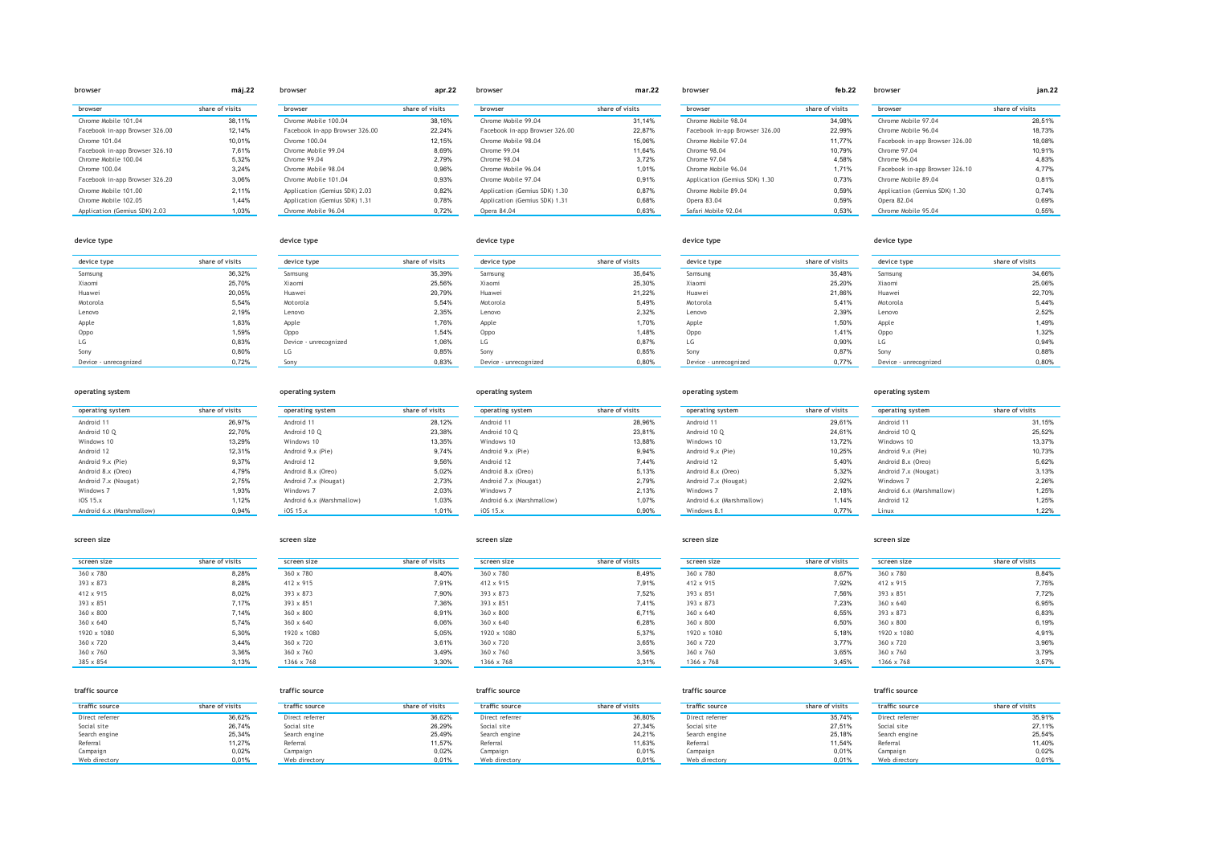|                                | máj.22          | browser                        | apr.22          | browser                        | mar.22          | browser                        | feb.22          | browser                        | jan.22          |
|--------------------------------|-----------------|--------------------------------|-----------------|--------------------------------|-----------------|--------------------------------|-----------------|--------------------------------|-----------------|
| browser                        | share of visits | browser                        | share of visits | browser                        | share of visits | browser                        | share of visits | browser                        | share of visits |
| Chrome Mobile 101.04           | 38.11%          | Chrome Mobile 100.04           | 38,16%          | Chrome Mobile 99.04            | 31.14%          | Chrome Mobile 98.04            | 34,98%          | Chrome Mobile 97.04            | 28.51%          |
| Facebook in-app Browser 326.00 | 12.14%          | Facebook in-app Browser 326.00 | 22,24%          | Facebook in-app Browser 326.00 | 22,87%          | Facebook in-app Browser 326.00 | 22,99%          | Chrome Mobile 96.04            | 18.73%          |
| Chrome 101.04                  | 10.01%          | Chrome 100.04                  | 12.15%          | Chrome Mobile 98.04            | 15.06%          | Chrome Mobile 97.04            | 11,77%          | Facebook in-app Browser 326.00 | 18,08%          |
| Facebook in-app Browser 326.10 | 7.61%           | Chrome Mobile 99.04            | 8.69%           | Chrome 99.04                   | 11.64%          | Chrome 98.04                   | 10.79%          | Chrome 97.04                   | 10.91%          |
| Chrome Mobile 100.04           | 5.32%           | Chrome 99.04                   | 2.79%           | Chrome 98.04                   | 3.72%           | Chrome 97.04                   | 4.58%           | Chrome 96.04                   | 4.83%           |
| Chrome 100.04                  | 3.24%           | Chrome Mobile 98.04            | 0.96%           | Chrome Mobile 96.04            | 1,01%           | Chrome Mobile 96.04            | 1,71%           | Facebook in-app Browser 326.10 | 4.77%           |
| Facebook in-app Browser 326.20 | 3.06%           | Chrome Mobile 101.04           | 0.93%           | Chrome Mobile 97.04            | 0.91%           | Application (Gemius SDK) 1.30  | 0.73%           | Chrome Mobile 89.04            | 0.81%           |
| Chrome Mobile 101.00           | 2.11%           | Application (Gemius SDK) 2.03  | 0,82%           | Application (Gemius SDK) 1.30  | 0.87%           | Chrome Mobile 89.04            | 0,59%           | Application (Gemius SDK) 1.30  | 0.74%           |
| Chrome Mobile 102.05           | 1.44%           | Application (Gemius SDK) 1.31  | 0.78%           | Application (Gemius SDK) 1.31  | 0,68%           | Opera 83.04                    | 0,59%           | Opera 82.04                    | 0.69%           |
| Application (Gemius SDK) 2.03  | 1,03%           | Chrome Mobile 96.04            | 0,72%           | Opera 84.04                    | 0,63%           | Safari Mobile 92.04            | 0,53%           | Chrome Mobile 95.04            | 0,55%           |

| device type           | share of visits | device type           | share of visits | device type           | share of visits | device type           | share of visits | device type           | share of visits |
|-----------------------|-----------------|-----------------------|-----------------|-----------------------|-----------------|-----------------------|-----------------|-----------------------|-----------------|
| Samsung               | 36,32%          | Samsung               | 35,39%          | Samsung               | 35,64%          | Samsung               | 35,48%          | Samsung               | 34,66%          |
| Xiaomi                | 25,70%          | Xiaomi                | 25,56%          | Xiaomi                | 25,30%          | Xiaomi                | 25,20%          | Xiaomi                | 25,06%          |
| Huawei                | 20,05%          | Huawei                | 20,79%          | Huawei                | 21,22%          | Huawei                | 21,86%          | Huawei                | 22,70%          |
| Motorola              | 5,54%           | Motorola              | 5,54%           | Motorola              | 5,49%           | Motorola              | 5,41%           | Motorola              | 5,44%           |
| Lenovo                | 2,19%           | Lenovo                | 2,35%           | Lenovo                | 2,32%           | Lenovo                | 2,39%           | Lenovo                | 2,52%           |
| Apple                 | 1,83%           | Apple                 | 1,76%           | Apple                 | 1,70%           | Apple                 | 1,50%           | Apple                 | 1,49%           |
| Oppo                  | 1,59%           | Oppo                  | 1,54%           | Oppo                  | 1,48%           | Oppo                  | 1,41%           | Oppo                  | 1,32%           |
| LG                    | 0,83%           | Device - unrecognized | 1,06%           | LG                    | 0,87%           | LG                    | 0,90%           | LG                    | 0,94%           |
| Sony                  | 0,80%           | LG                    | 0,85%           | Sony                  | 0,85%           | Sony                  | 0,87%           | Sony                  | 0,88%           |
| Device - unrecognized | 0.72%           | $S_{\Omega}$          | 0.83%           | Device - unrecognized | 0.80%           | Device - unreconnized | 0.77%           | Device - unrecognized | 0.80%           |

| device type           |                 | device type           |                 | device type           |                 | device type           |                 | device type           |                 |
|-----------------------|-----------------|-----------------------|-----------------|-----------------------|-----------------|-----------------------|-----------------|-----------------------|-----------------|
| device type           | share of visits | device type           | share of visits | device type           | share of visits | device type           | share of visits | device type           | share of visits |
| Samsung               | 36,32%          | Samsung               | 35,39%          | Samsung               | 35,64%          | Samsung               | 35,48%          | Samsung               | 34,66%          |
| Xiaomi                | 25,70%          | Xiaomi                | 25,56%          | Xiaomi                | 25,30%          | Xiaomi                | 25,20%          | Xiaomi                | 25,06%          |
| Huawei                | 20,05%          | Huawei                | 20,79%          | Huawei                | 21,22%          | Huawei                | 21,86%          | Huawei                | 22,70%          |
| Motorola              | 5,54%           | Motorola              | 5,54%           | Motorola              | 5,49%           | Motorola              | 5,41%           | Motorola              | 5,44%           |
| Lenovo                | 2,19%           | Lenovo                | 2,35%           | Lenovo                | 2,32%           | Lenovo                | 2,39%           | Lenovo                | 2,52%           |
| Apple                 | 1,83%           | Apple                 | 1,76%           | Apple                 | 1,70%           | Apple                 | 1,50%           | Apple                 | 1,49%           |
| Oppo                  | 1,59%           | Oppo                  | 1,54%           | Oppo                  | 1,48%           | Oppo                  | 1,41%           | Oppo                  | 1,32%           |
| LG                    | 0,83%           | Device - unrecognized | 1,06%           | LG                    | 0.87%           | LG                    | 0,90%           | LG                    | 0.94%           |
| Sony                  | 0,80%           | LG                    | 0,85%           | Sony                  | 0,85%           | Sony                  | 0,87%           | Sony                  | 0,88%           |
| Device - unrecognized | 0,72%           | Sony                  | 0,83%           | Device - unrecognized | 0,80%           | Device - unrecognized | 0,77%           | Device - unrecognized | 0,80%           |

| operating system | operating system | operating system | operating system | operating system |
|------------------|------------------|------------------|------------------|------------------|
|                  |                  |                  |                  |                  |

| onerating syst |  |  |
|----------------|--|--|

| operating system          | share of visits | operating system          | share of visits | operating system          | share of visits | operating system          | share of visits | operating system          | share of visits |
|---------------------------|-----------------|---------------------------|-----------------|---------------------------|-----------------|---------------------------|-----------------|---------------------------|-----------------|
| Android 11                | 26,97%          | Android 11                | 28,12%          | Android 11                | 28,96%          | Android 11                | 29,61%          | Android 11                | 31,15%          |
| Android 10 O              | 22,70%          | Android 10 Q              | 23,38%          | Android 10 O              | 23,81%          | Android 10 O              | 24,61%          | Android 10 O              | 25,52%          |
| Windows 10                | 13,29%          | Windows 10                | 13,35%          | Windows 10                | 13.88%          | Windows 10                | 13,72%          | Windows 10                | 13,37%          |
| Android 12                | 12,31%          | Android 9.x (Pie)         | 9,74%           | Android 9.x (Pie)         | 9,94%           | Android 9.x (Pie)         | 10,25%          | Android 9.x (Pie)         | 10,73%          |
| Android 9.x (Pie)         | 9,37%           | Android 12                | 9,56%           | Android 12                | 7.44%           | Android 12                | 5,40%           | Android 8.x (Oreo)        | 5,62%           |
| Android 8.x (Oreo)        | 4,79%           | Android 8.x (Oreo)        | 5,02%           | Android 8.x (Oreo)        | 5,13%           | Android 8.x (Oreo)        | 5,32%           | Android 7.x (Nougat)      | 3,13%           |
| Android 7.x (Nougat)      | 2,75%           | Android 7.x (Nougat)      | 2.73%           | Android 7.x (Nougat)      | 2.79%           | Android 7.x (Nougat)      | 2.92%           | Windows 7                 | 2,26%           |
| Windows 7                 | 1,93%           | Windows 7                 | 2,03%           | Windows 7                 | 2.13%           | Windows 7                 | 2,18%           | Android 6.x (Marshmallow) | 1,25%           |
| iOS 15.x                  | 1,12%           | Android 6.x (Marshmallow) | 1,03%           | Android 6.x (Marshmallow) | 1,07%           | Android 6.x (Marshmallow) | 1,14%           | Android 12                | 1,25%           |
| Android 6.x (Marshmallow) | 0,94%           | 10515.x                   | 1,01%           | iOS 15.x                  | 0.90%           | Windows 8.1               | 0.77%           | Linux                     | 1.22%           |

| screen size |                 | screen size |                 | screen size      |                 | screen size      |                 | screen size      |                 |
|-------------|-----------------|-------------|-----------------|------------------|-----------------|------------------|-----------------|------------------|-----------------|
| screen size | share of visits | screen size | share of visits | screen size      | share of visits | screen size      | share of visits | screen size      | share of visits |
| 360 x 780   | 8,28%           | 360 x 780   | 8,40%           | 360 x 780        | 8,49%           | 360 x 780        | 8,67%           | 360 x 780        | 8,84%           |
| 393 x 873   | 8,28%           | 412 x 915   | 7,91%           | 412 x 915        | 7,91%           | 412 x 915        | 7,92%           | 412 x 915        | 7,75%           |
| 412 x 915   | 8,02%           | 393 x 873   | 7,90%           | 393 x 873        | 7,52%           | 393 x 851        | 7,56%           | 393 x 851        | 7,72%           |
| 393 x 851   | 7,17%           | 393 x 851   | 7,36%           | 393 x 851        | 7.41%           | 393 x 873        | 7,23%           | $360 \times 640$ | 6,95%           |
| 360 x 800   | 7,14%           | 360 x 800   | 6,91%           | 360 x 800        | 6,71%           | $360 \times 640$ | 6,55%           | 393 x 873        | 6,83%           |
| 360 x 640   | 5,74%           | 360 x 640   | 6,06%           | $360 \times 640$ | 6,28%           | 360 x 800        | 6,50%           | 360 x 800        | 6,19%           |
| 1920 x 1080 | 5,30%           | 1920 x 1080 | 5,05%           | 1920 x 1080      | 5,37%           | 1920 x 1080      | 5,18%           | 1920 x 1080      | 4,91%           |
| 360 x 720   | 3,44%           | 360 x 720   | 3,61%           | $360 \times 720$ | 3,65%           | 360 x 720        | 3,77%           | 360 x 720        | 3,96%           |
| 360 x 760   | 3,36%           | 360 x 760   | 3,49%           | 360 x 760        | 3,56%           | 360 x 760        | 3,65%           | 360 x 760        | 3,79%           |
| 385 x 854   | 3,13%           | 1366 x 768  | 3,30%           | 1366 x 768       | 3,31%           | 1366 x 768       | 3,45%           | 1366 x 768       | 3,57%           |

| traffic source  |                 | traffic source  |                 | traffic source  |                 | traffic source  |                 | traffic source  |                 |
|-----------------|-----------------|-----------------|-----------------|-----------------|-----------------|-----------------|-----------------|-----------------|-----------------|
| traffic source  | share of visits | traffic source  | share of visits | traffic source  | share of visits | traffic source  | share of visits | traffic source  | share of visits |
| Direct referrer | 36,62%          | Direct referrer | 36,62%          | Direct referrer | 36,80%          | Direct referrer | 35,74%          | Direct referrer | 35,91%          |
| Social site     | 26,74%          | Social site     | 26.29%          | Social site     | 27,34%          | Social site     | 27.51%          | Social site     | 27,11%          |
| Search engine   | 25,34%          | Search engine   | 25,49%          | Search engine   | 24,21%          | Search engine   | 25, 18%         | Search engine   | 25,54%          |
| Referral        | 11,27%          | Referral        | 11,57%          | Referral        | 11,63%          | Referral        | 11,54%          | Referral        | 11,40%          |
| Campaign        | 0.02%           | Campaign        | 0.02%           | Campaign        | 0,01%           | Campaign        | 0,01%           | Campaign        | 0.02%           |
| Web directory   | 0,01%           | Web directory   | 0,01%           | Web directory   | 0,01%           | Web directory   | 0,01%           | Web directory   | 0.01%           |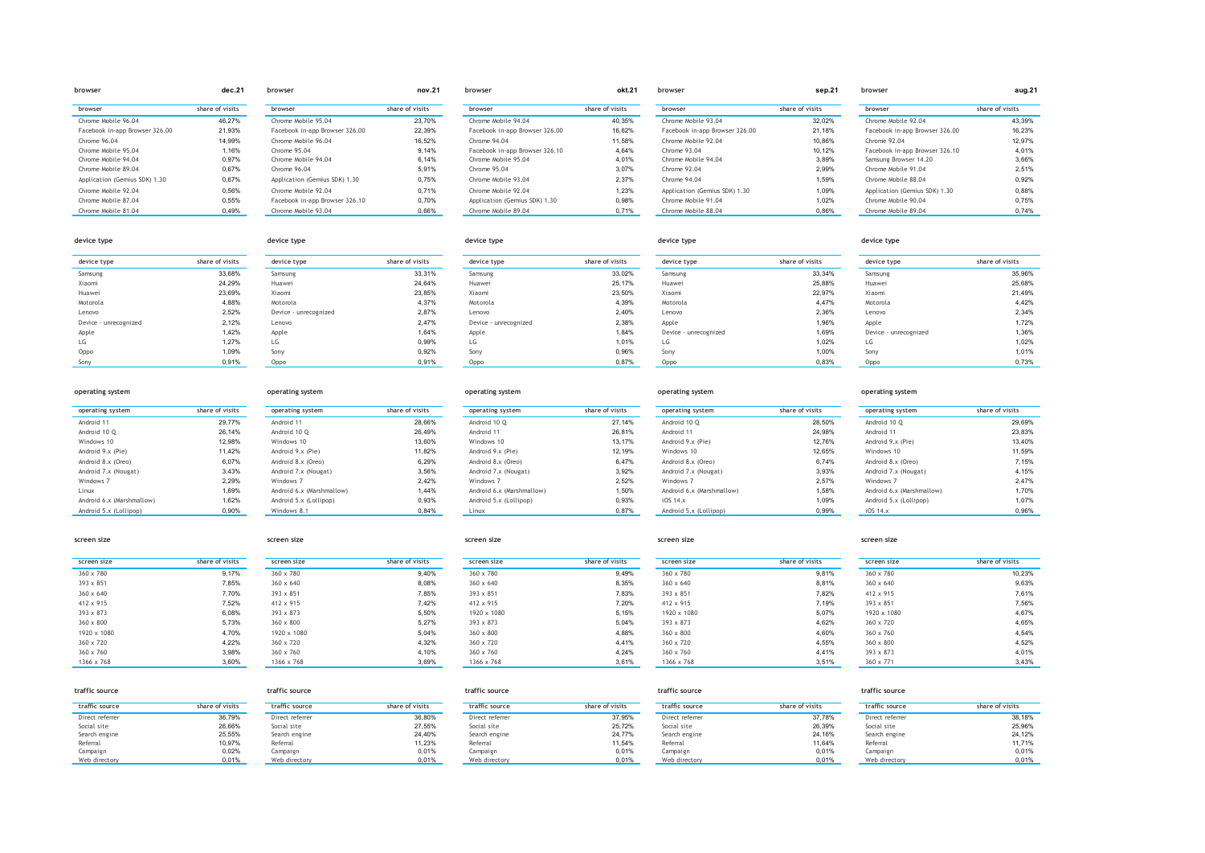| prowser                        | aec.z i         | prowser     |
|--------------------------------|-----------------|-------------|
| browser                        | share of visits | browser     |
| Chrome Mobile 96.04            | 46.27%          | Chrome Mo   |
| Facebook in-app Browser 326.00 | 21.93%          | Facebook i  |
| Chrome 96.04                   | 14.99%          | Chrome Mo   |
| Chrome Mobile 95.04            | 1.16%           | Chrome 95   |
| Chrome Mobile 94.04            | 0.97%           | Chrome Mo   |
| Chrome Mobile 89.04            | 0.67%           | Chrome 96   |
| Application (Gemius SDK) 1.30  | 0.67%           | Application |
| Chrome Mobile 92.04            | 0.56%           | Chrome Mo   |
| Chrome Mobile 87.04            | 0.55%           | Facebook i  |
| Chrome Mobile 81.04            | 0.49%           | Chrome Mo   |

| browser                        |                |
|--------------------------------|----------------|
| browser                        | share of vi    |
| Chrome Mobile 95.04            | 2              |
| Facebook in-app Browser 326.00 | $\overline{2}$ |
| Chrome Mobile 96.04            | 1              |
| Chrome 95.04                   |                |
| Chrome Mobile 94.04            |                |
| Chrome 96.04                   |                |
| Application (Gemius SDK) 1.30  |                |
| Chrome Mobile 92.04            |                |
| Facebook in-app Browser 326.10 |                |
| Chrome Mobile 93.04            |                |

| browser                        | okt.21          | browser                |
|--------------------------------|-----------------|------------------------|
| browser                        | share of visits | browser                |
| Chrome Mobile 94.04            | 40.35%          | Chrome Mobile 93.04    |
| Facebook in-app Browser 326.00 | 16.62%          | Facebook in-app Brows  |
| Chrome 94.04                   | 11.58%          | Chrome Mobile 92.04    |
| Facebook in-app Browser 326.10 | 4.64%           | Chrome 93.04           |
| Chrome Mobile 95.04            | 4.01%           | Chrome Mobile 94.04    |
| Chrome 95.04                   | 3.07%           | Chrome 92.04           |
| Chrome Mobile 93.04            | 2.37%           | Chrome 94.04           |
| Chrome Mobile 92.04            | 1.23%           | Application (Gemius SD |
| Application (Gemius SDK) 1.30  | 0.98%           | Chrome Mobile 91.04    |
| Chrome Mobile 89.04            | 0.71%           | Chrome Mobile 88.04    |
|                                |                 |                        |

| browser                        | dec.21          | browser                        | nov.21          | browser                        | okt.21          | browser                        | sep.21          | browser                        | aug.21          |
|--------------------------------|-----------------|--------------------------------|-----------------|--------------------------------|-----------------|--------------------------------|-----------------|--------------------------------|-----------------|
| browser                        | share of visits | browser                        | share of visits | browser                        | share of visits | browser                        | share of visits | browser                        | share of visits |
| Chrome Mobile 96.04            | 46.27%          | Chrome Mobile 95.04            | 23.70%          | Chrome Mobile 94.04            | 40,35%          | Chrome Mobile 93.04            | 32,02%          | Chrome Mobile 92.04            | 43.39%          |
| Facebook in-app Browser 326.00 | 21,93%          | Facebook in-app Browser 326.00 | 22,39%          | Facebook in-app Browser 326.00 | 16,62%          | Facebook in-app Browser 326.00 | 21,18%          | Facebook in-app Browser 326.00 | 16,23%          |
| Chrome 96.04                   | 14,99%          | Chrome Mobile 96.04            | 16.52%          | Chrome 94.04                   | 11,58%          | Chrome Mobile 92.04            | 10,86%          | Chrome 92.04                   | 12.97%          |
| Chrome Mobile 95.04            | 1,16%           | Chrome 95.04                   | 9.14%           | Facebook in-app Browser 326.10 | 4.64%           | Chrome 93.04                   | 10,12%          | Facebook in-app Browser 326.10 | 4.01%           |
| Chrome Mobile 94.04            | 0.97%           | Chrome Mobile 94.04            | 6.14%           | Chrome Mobile 95.04            | 4.01%           | Chrome Mobile 94.04            | 3,89%           | Samsung Browser 14.20          | 3,66%           |
| Chrome Mobile 89.04            | 0,67%           | Chrome 96.04                   | 5.91%           | Chrome 95.04                   | 3,07%           | Chrome 92.04                   | 2,99%           | Chrome Mobile 91.04            | 2,51%           |
| Application (Gemius SDK) 1.30  | 0,67%           | Application (Gemius SDK) 1.30  | 0.75%           | Chrome Mobile 93.04            | 2.37%           | Chrome 94.04                   | 1.59%           | Chrome Mobile 88.04            | 0.92%           |
| Chrome Mobile 92.04            | 0,56%           | Chrome Mobile 92.04            | 0.71%           | Chrome Mobile 92.04            | 1,23%           | Application (Gemius SDK) 1.30  | 1,09%           | Application (Gemius SDK) 1.30  | 0,88%           |
| Chrome Mobile 87.04            | 0,55%           | Facebook in-app Browser 326.10 | 0.70%           | Application (Gemius SDK) 1.30  | 0.98%           | Chrome Mobile 91.04            | 1.02%           | Chrome Mobile 90.04            | 0.75%           |
| Chrome Mobile 81.04            | 0.49%           | Chrome Mobile 93.04            | 0.66%           | Chrome Mobile 89.04            | 0.71%           | Chrome Mobile 88.04            | 0.86%           | Chrome Mobile 89.04            | 0.74%           |

## **device type device type device type device type device type device type share of visits device type share of visits device type share of visits device type share of visits device type share of visits** Samsung 33,68% Samsung 33,31% Samsung 33,02% Samsung 33,34% Samsung 35,96% Xiaomi 24,29% Huawei 24,64% Huawei 25,17% Huawei 25,88% Huawei 25,68% Huawei 23,69% Xiaomi 23,85% Xiaomi 23,50% Xiaomi 22,97% Xiaomi 21,49% Motorola 4,88% Motorola 4,37% Motorola 4,39% Motorola 4,47% Motorola 4,42% Lenovo 2,52% Device - unrecognized 2,87% Lenovo 2,40% Lenovo 2,36% Lenovo 2,34% Device - unrecognized 2,12% Lenovo 2,47% Device - unrecognized 2,38% Apple 1,972% 1,96% Apple 1,72% 1,72% 1,72% 1,72% 1,72% 1,72% 1,72% Apple 1,42% Apple 1,64% Apple 1,64% Apple 1,84% Device - unrecognized 1,89% Device - unrecognized 1,89% Device - unrecognized LG 1,27% LG 0,99% LG 1,01% LG 1,02% LG 1,02% Oppo 1,09% Sony 0,92% Sony 0,96% Sony 1,00% Sony 1,01% Sony 0,91% Oppo 0,91% Oppo 0,87% Oppo 0,83% Oppo 0,73%

| operating system               | share of visits |
|--------------------------------|-----------------|
|                                |                 |
| Android 11                     | 29.77%          |
| Android 10 O                   | 26.14%          |
| Windows 10                     | 12.98%          |
| Android 9.x (Pie)              | 11.42%          |
| Android 8.x (Oreo)             | 6.07%           |
| Android 7.x (Nougat)           | 3.43%           |
| Windows <sub>7</sub>           | 2.29%           |
| Linux                          | 1.69%           |
| Android 6.x (Marshmallow)      | 1.62%           |
| $h$ ndroid $F \vee$ (Lollinon) | 0.000L          |

| operating system          | share of visits | operating:  |
|---------------------------|-----------------|-------------|
| Android 10 O              | 27.14%          | Android 10  |
| Android 11                | 26.81%          | Android 11  |
| Windows 10                | 13, 17%         | Android 9.x |
| Android 9.x (Pie)         | 12.19%          | Windows 1   |
| Android 8.x (Oreo)        | 6.47%           | Android 8.x |
| Android 7.x (Nougat)      | 3.92%           | Android 7.x |
| Windows 7                 | 2.52%           | Windows 7   |
| Android 6.x (Marshmallow) | 1.50%           | Android 6.x |
| Android 5.x (Lollipop)    | 0.93%           | iOS 14.x    |
| Linuv                     | 0.87%           | Android 5 v |

### **operating system operating system operating system operating system operating system**

| operating system          | share of visits | operating system          | share of visits | operating system          | share of visits | operating system          | share of visits | operating system          | share of visits |
|---------------------------|-----------------|---------------------------|-----------------|---------------------------|-----------------|---------------------------|-----------------|---------------------------|-----------------|
| Android 11                | 29.77%          | Android 11                | 28,66%          | Android 10 O              | 27,14%          | Android 10 Q              | 28,50%          | Android 10 O              | 29,69%          |
| Android 10 O              | 26.14%          | Android 10 Q              | 26,49%          | Android 11                | 26,81%          | Android 11                | 24,98%          | Android 11                | 23,83%          |
| Windows 10                | 12.98%          | Windows 10                | 13.60%          | Windows 10                | 13, 17%         | Android 9.x (Pie)         | 12,76%          | Android 9.x (Pie)         | 13,40%          |
| Android 9.x (Pie)         | 11,42%          | Android 9.x (Pie)         | 11.82%          | Android 9.x (Pie)         | 12,19%          | Windows 10                | 12,65%          | Windows 10                | 11,59%          |
| Android 8.x (Oreo)        | 6,07%           | Android 8.x (Oreo)        | 6.29%           | Android 8.x (Oreo)        | 6,47%           | Android 8.x (Oreo)        | 6,74%           | Android 8.x (Oreo)        | 7,15%           |
| Android 7.x (Nougat)      | 3,43%           | Android 7.x (Nougat)      | 3.56%           | Android 7.x (Nougat)      | 3,92%           | Android 7.x (Nougat)      | 3,93%           | Android 7.x (Nougat)      | 4.15%           |
| Windows 7                 | 2.29%           | Windows 7                 | 2.42%           | Windows 7                 | 2.52%           | Windows 7                 | 2.57%           | Windows 7                 | 2,47%           |
| Linux                     | 1.69%           | Android 6.x (Marshmallow) | 1.44%           | Android 6.x (Marshmallow) | 1.50%           | Android 6.x (Marshmallow) | 1,58%           | Android 6.x (Marshmallow) | 1.70%           |
| Android 6.x (Marshmallow) | 1.62%           | Android 5.x (Lollipop)    | 0.93%           | Android 5.x (Lollipop)    | 0,93%           | iOS 14.x                  | 1,09%           | Android 5.x (Lollipop)    | 1,07%           |
| Android 5.x (Lollipop)    | 0.90%           | Windows 8.1               | 0.84%           | Linux                     | 0.87%           | Android 5.x (Lollipop)    | 0.99%           | iOS 14.x                  | 0.96%           |

### **screen size screen size screen size screen size screen size**

| screen size      | share of visits | screen size      | sh |
|------------------|-----------------|------------------|----|
| 360 x 780        | 9.17%           | 360 x 780        |    |
| $393 \times 851$ | 7.85%           | $360 \times 640$ |    |
| $360 \times 640$ | 7.70%           | 393 x 851        |    |
| 412 x 915        | 7.52%           | 412 x 915        |    |
| 393 x 873        | 6.08%           | 393 x 873        |    |
| $360 \times 800$ | 5.73%           | 360 x 800        |    |
| 1920 x 1080      | 4.70%           | 1920 x 1080      |    |
| $360 \times 720$ | 4.22%           | $360 \times 720$ |    |
| $360 \times 760$ | 3.98%           | $360 \times 760$ |    |
| 1366 x 768       | 3.60%           | 1366 x 768       |    |

| screen size | share of visits | screen size      | share of visits | screen size      | share of visits | screen size      | share of visits | screen size      | share of visits |
|-------------|-----------------|------------------|-----------------|------------------|-----------------|------------------|-----------------|------------------|-----------------|
| 360 x 780   | 9,17%           | 360 x 780        | 9,40%           | 360 x 780        | 9,49%           | 360 x 780        | 9,81%           | 360 x 780        | 10,23%          |
| 393 x 851   | 7,85%           | $360 \times 640$ | 8,08%           | $360 \times 640$ | 8,35%           | 360 x 640        | 8,81%           | 360 x 640        | 9,63%           |
| 360 x 640   | 7.70%           | $393 \times 851$ | 7.85%           | $393 \times 851$ | 7,83%           | 393 x 851        | 7.82%           | 412 x 915        | 7,61%           |
| 412 x 915   | 7.52%           | $412 \times 915$ | 7.42%           | 412 x 915        | 7,20%           | 412 x 915        | 7,19%           | $393 \times 851$ | 7,56%           |
| 393 x 873   | 6.08%           | $393 \times 873$ | 5.50%           | 1920 x 1080      | 5,15%           | 1920 x 1080      | 5,07%           | 1920 x 1080      | 4.67%           |
| 360 x 800   | 5,73%           | 360 x 800        | 5.27%           | $393 \times 873$ | 5,04%           | $393 \times 873$ | 4,62%           | 360 x 720        | 4,65%           |
| 1920 x 1080 | 4.70%           | 1920 x 1080      | 5,04%           | $360 \times 800$ | 4,88%           | 360 x 800        | 4,60%           | 360 x 760        | 4,54%           |
| 360 x 720   | 4.22%           | 360 x 720        | 4.32%           | 360 x 720        | 4.41%           | 360 x 720        | 4.55%           | 360 x 800        | 4.52%           |
| 360 x 760   | 3.98%           | 360 x 760        | 4.10%           | $360 \times 760$ | 4.24%           | 360 x 760        | 4.41%           | $393 \times 873$ | 4.01%           |
| 1366 x 768  | 3,60%           | 1366 x 768       | 3.69%           | 1366 x 768       | 3,61%           | 1366 x 768       | 3,51%           | 360 x 771        | 3,43%           |

### **traffic source traffic source traffic source traffic source traffic source traffic source share of visits traffic source share of visits traffic source share of visits traffic source share of visits traffic source share of visits** Direct referrer 36,79% Direct referrer 38,18% Direct referrer 36,80% Direct referrer 37,78% Direct referrer 37,78% Direct referrer 38,18% 38,18% Direct referrer 38,18% Direct referrer 38,18% Direct referrer 38,18% Direct r Social site 26,66% Social site 27,55% Social site 25,72% Social site 26,39% Social site 25,96% Search engine 25,55% Search engine 24,40% Search engine 24,77% Search engine 24,16% Search engine 24,12% Referral 10,97% Referral 11,23% Referral 11,24% Referral 11,54% Referral 11,64% Referral 11,64% Referral 11,64% Referral 11,71% Campaign 0,02% Campaign 0,01% Campaign 0,01% Campaign 0,01% Campaign 0,01% Web directory 0,01% Web directory 0,01% Web directory 0,01% Web directory 0,01% Web directory 0,01% Web directory 0,01% Web directory